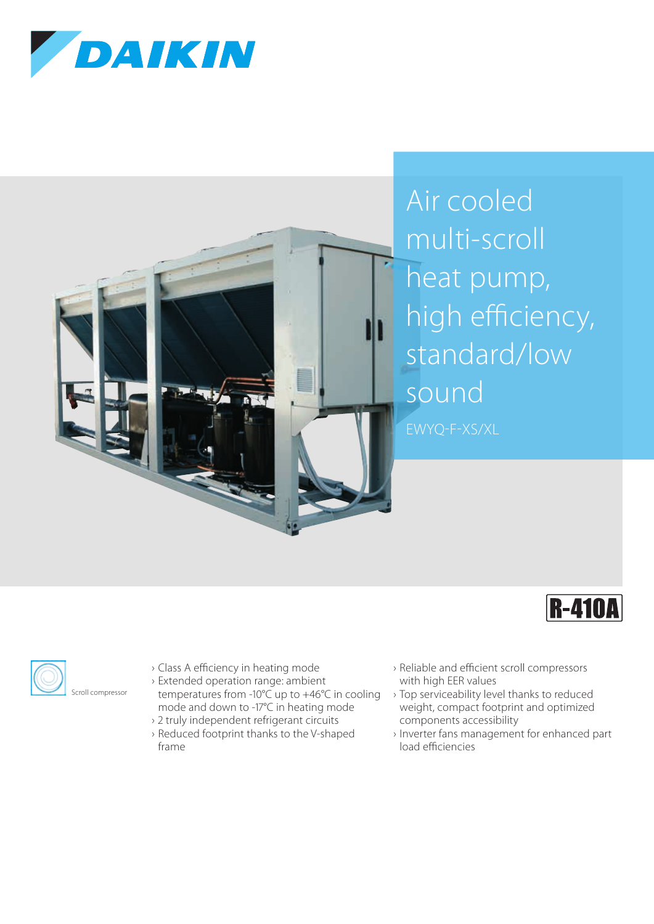







- › Class A efficiency in heating mode
- › Extended operation range: ambient temperatures from -10°C up to +46°C in cooling mode and down to -17°C in heating mode
- › 2 truly independent refrigerant circuits
- › Reduced footprint thanks to the V-shaped frame
- › Reliable and efficient scroll compressors with high EER values
- › Top serviceability level thanks to reduced weight, compact footprint and optimized components accessibility
- › Inverter fans management for enhanced part load efficiencies